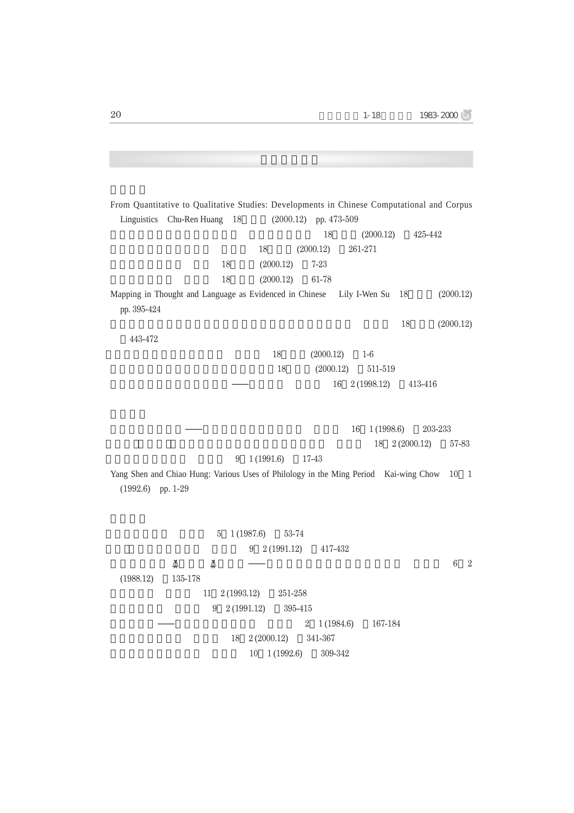From Quantitative to Qualitative Studies: Developments in Chinese Computational and Corpus Linguistics Chu-Ren Huang 18 (2000.12) pp. 473-509  $18(2000.12)$   $425-442$ 18 (2000.12) 261-271 18 (2000.12) 7-23 18 (2000.12) 61-78 Mapping in Thought and Language as Evidenced in Chinese Lily I-Wen Su 18 (2000.12) pp. 395-424  $18 \t (2000.12)$ 443-472 18 (2000.12) 1-6 18 (2000.12) 511-519  $-$  16 2 (1998.12) 413-416  $\frac{16}{16}$  1 (1998.6) 203-233 18 2 (2000.12) 57-83  $9 \quad 1 \,(1991.6) \qquad 17-43$ Yang Shen and Chiao Hung: Various Uses of Philology in the Ming Period Kai-wing Chow 10 1 (1992.6) pp. 1-29 5 1 (1987.6) 53-74  $9 \quad 2(1991.12) \quad 417-432$  $\tilde{\varphi}$   $\tilde{\varphi}$   $\tilde{\varphi}$   $\tilde{\varphi}$   $\tilde{\varphi}$   $\tilde{\varphi}$   $\tilde{\varphi}$   $\tilde{\varphi}$   $\tilde{\varphi}$   $\tilde{\varphi}$   $\tilde{\varphi}$   $\tilde{\varphi}$   $\tilde{\varphi}$   $\tilde{\varphi}$   $\tilde{\varphi}$   $\tilde{\varphi}$   $\tilde{\varphi}$   $\tilde{\varphi}$   $\tilde{\varphi}$   $\tilde{\varphi}$   $\tilde{\varphi}$   $\tilde{\varphi}$  (1988.12) 135-178 11 2 (1993.12) 251-258  $9 \quad 2(1991.12) \quad 395-415$  $2 \quad 1 \, (1984.6) \qquad 167-184$ 18 2 (2000.12) 341-367 10 1 (1992.6) 309-342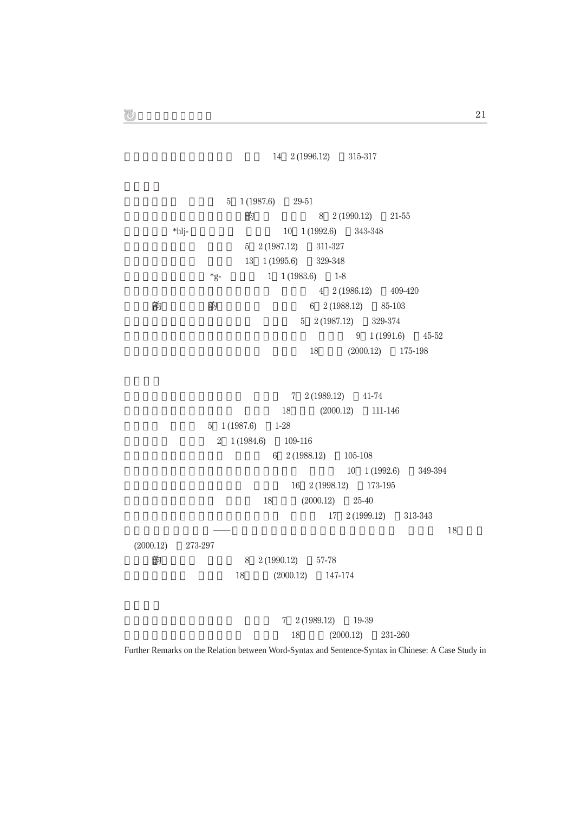$14 \quad 2 \,(1996.12) \qquad 315-317$ 

 $5 \quad 1 \,(1987.6) \qquad 29-51$ 刻本《圓音正考》所反映的音韵現象 林慶勳 8 2 (1990.12) 21-55 \*hlj- 10 1 (1992.6) 343-348  $5 \quad 2(1987.12) \quad 311-327$ 支脂諸韻重紐餘論 龍宇純 13 1 (1995.6) 329-348  $*_{g}$ - 1 1 (1983.6) 1-8  $4\quad 2 \,(1986.12) \qquad 409-420$ 論《集韵》在漢語音韵學史的定位 林英津 6 2 (1988.12) 85-103  $5 \quad 2(1987.12) \quad 329-374$  $9 \quad 1 \,(1991.6) \qquad 45-52$ 論近代音研究的方法、現況與展望 竺家寧 18:特刊 (2000.12) 175-198  $7 \quad 2 \,(1989.12) \qquad 41-74$ 18 (2000.12) 111-146  $5 \quad 1 \, (1987.6) \qquad 1-28$ 2 1 (1984.6) 109-116  $6\quad 2(1988.12) \qquad 105-108$ 10 1 (1992.6) 349-394 閩南語的是非問句與正反問句 湯廷池 16 2 (1998.12) 173-195 18 (2000.12) 25-40 臺灣語言的歷史及其目前的狀態與地位 曹逢甫 17 2 (1999.12) 313-343  $\frac{1}{18}$ (2000.12) 273-297 客家話韵母的結構 鍾榮富 8 2 (1990.12) 57-78 客家話的疑問句 鍾榮富 18:特刊 (2000.12) 147-174 漢語語法研究的回顧與前瞻 湯廷池 7 2 (1989.12) 19-39 18 (2000.12) 231-260

Further Remarks on the Relation between Word-Syntax and Sentence-Syntax in Chinese: A Case Study in